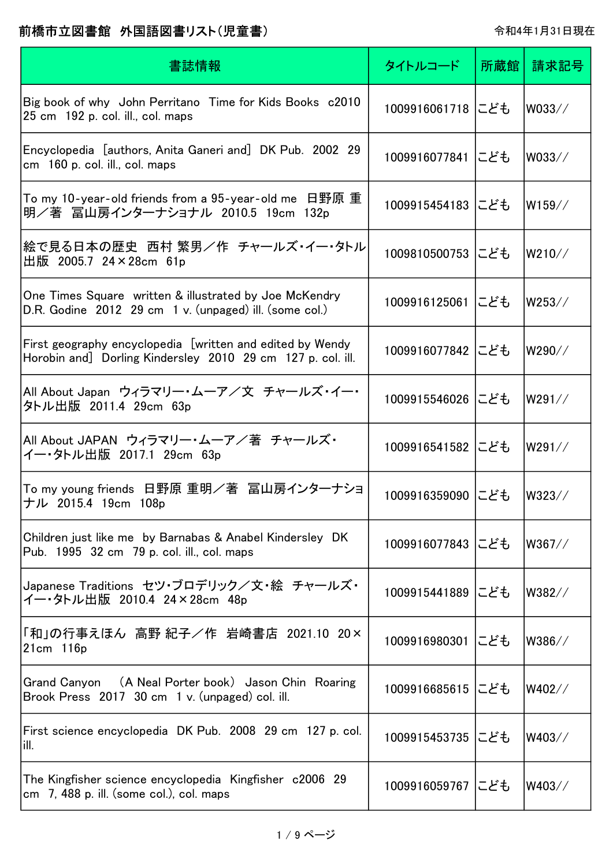| 書誌情報                                                                                                                     | タイトルコード           | 所蔵館 | 請求記号   |
|--------------------------------------------------------------------------------------------------------------------------|-------------------|-----|--------|
| Big book of why John Perritano Time for Kids Books c2010<br>25 cm 192 p. col. ill., col. maps                            | 1009916061718 にども |     | W033// |
| Encyclopedia [authors, Anita Ganeri and] DK Pub. 2002 29<br>cm 160 p. col. ill., col. maps                               | 1009916077841 にども |     | W033// |
| To my 10-year-old friends from a 95-year-old me   日野原 重<br>明/著 冨山房インターナショナル 2010.5 19cm 132p                             | 1009915454183 にども |     | W159// |
| 絵で見る日本の歴史 西村 繁男/作 チャールズ・イー・タトル<br>出版 2005.7 24×28cm 61p                                                                  | 1009810500753 にども |     | W210// |
| One Times Square written & illustrated by Joe McKendry<br>D.R. Godine 2012 29 cm 1 v. (unpaged) ill. (some col.)         | 1009916125061 にども |     | W253// |
| First geography encyclopedia [written and edited by Wendy<br>Horobin and] Dorling Kindersley 2010 29 cm 127 p. col. ill. | 1009916077842 にども |     | W290// |
| All About Japan ウィラマリー・ムーア/文 チャールズ・イー・<br>タトル出版 2011.4 29cm 63p                                                          | 1009915546026 にども |     | W291// |
| All About JAPAN ウィラマリー・ムーア/著 チャールズ・<br>イー・タトル出版 2017.1 29cm 63p                                                          | 1009916541582 にども |     | W291// |
| To my young friends 日野原 重明/著 冨山房インターナショ<br>ナル 2015.4 19cm 108p                                                           | 1009916359090 にども |     | W323// |
| Children just like me by Barnabas & Anabel Kindersley DK<br>Pub. 1995 32 cm 79 p. col. ill., col. maps                   | 1009916077843 にども |     | W367// |
| Japanese Traditions セツ・ブロデリック/文・絵 チャールズ・<br>イー・タトル出版 2010.4 24×28cm 48p                                                  | 1009915441889 にども |     | W382// |
| 「和」の行事えほん 高野 紀子/作 岩崎書店 2021.10 20×<br>$21cm$ 116 $p$                                                                     | 1009916980301 にども |     | W386// |
| Grand Canyon (A Neal Porter book) Jason Chin Roaring<br>Brook Press 2017 30 cm 1 v. (unpaged) col. ill.                  | 1009916685615 にども |     | W402// |
| First science encyclopedia DK Pub. 2008 29 cm 127 p. col.<br>ill.                                                        | 1009915453735 にども |     | W403// |
| The Kingfisher science encyclopedia Kingfisher c2006 29<br>cm 7, 488 p. ill. (some col.), col. maps                      | 1009916059767 にども |     | W403// |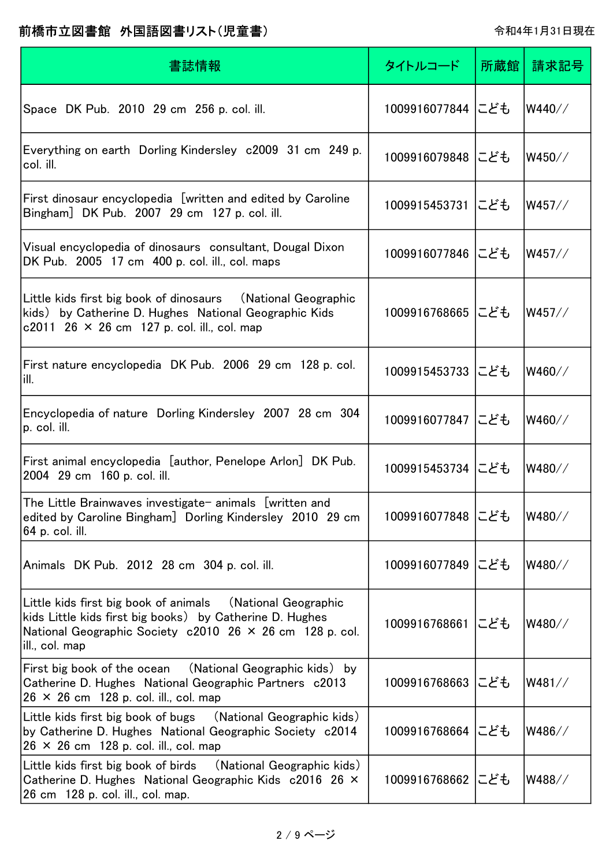| 書誌情報                                                                                                                                                                                                  | タイトルコード           | 所蔵館 | 請求記号   |
|-------------------------------------------------------------------------------------------------------------------------------------------------------------------------------------------------------|-------------------|-----|--------|
| Space DK Pub. 2010 29 cm 256 p. col. ill.                                                                                                                                                             | 1009916077844 にども |     | W440// |
| Everything on earth Dorling Kindersley c2009 31 cm 249 p.<br>col. ill.                                                                                                                                | 1009916079848 にども |     | W450// |
| First dinosaur encyclopedia [written and edited by Caroline<br>Bingham] DK Pub. 2007 29 cm 127 p. col. ill.                                                                                           | 1009915453731 にども |     | W457// |
| Visual encyclopedia of dinosaurs consultant, Dougal Dixon<br>DK Pub. 2005 17 cm 400 p. col. ill., col. maps                                                                                           | 1009916077846 にども |     | W457// |
| Little kids first big book of dinosaurs (National Geographic<br>kids) by Catherine D. Hughes National Geographic Kids<br>c2011 26 $\times$ 26 cm 127 p. col. ill., col. map                           | 1009916768665 にども |     | W457// |
| First nature encyclopedia DK Pub. 2006 29 cm 128 p. col.<br> ill.                                                                                                                                     | 1009915453733 にども |     | W460// |
| Encyclopedia of nature Dorling Kindersley 2007 28 cm 304<br>p. col. ill.                                                                                                                              | 1009916077847 にども |     | W460// |
| First animal encyclopedia [author, Penelope Arlon] DK Pub.<br>2004 29 cm 160 p. col. ill.                                                                                                             | 1009915453734 にども |     | W480// |
| The Little Brainwaves investigate- animals [written and<br>edited by Caroline Bingham] Dorling Kindersley 2010 29 cm<br> 64 p. col. ill.                                                              | 1009916077848 にども |     | W480// |
| Animals DK Pub. 2012 28 cm 304 p. col. ill.                                                                                                                                                           | 1009916077849 にども |     | W480// |
| Little kids first big book of animals (National Geographic<br>kids Little kids first big books) by Catherine D. Hughes<br>National Geographic Society c2010 26 × 26 cm 128 p. col.<br> ill., col. map | 1009916768661     | にども | W480// |
| First big book of the ocean  (National Geographic kids) by<br>Catherine D. Hughes National Geographic Partners c2013<br>$26 \times 26$ cm 128 p. col. ill., col. map                                  | 1009916768663 にども |     | W481// |
| Little kids first big book of bugs<br>(National Geographic kids)<br>by Catherine D. Hughes National Geographic Society c2014<br>$ 26 \times 26$ cm 128 p. col. ill., col. map                         | 1009916768664 にども |     | W486// |
| Little kids first big book of birds<br>(National Geographic kids)<br>Catherine D. Hughes National Geographic Kids c2016 26 ×<br>26 cm 128 p. col. ill., col. map.                                     | 1009916768662 にども |     | W488// |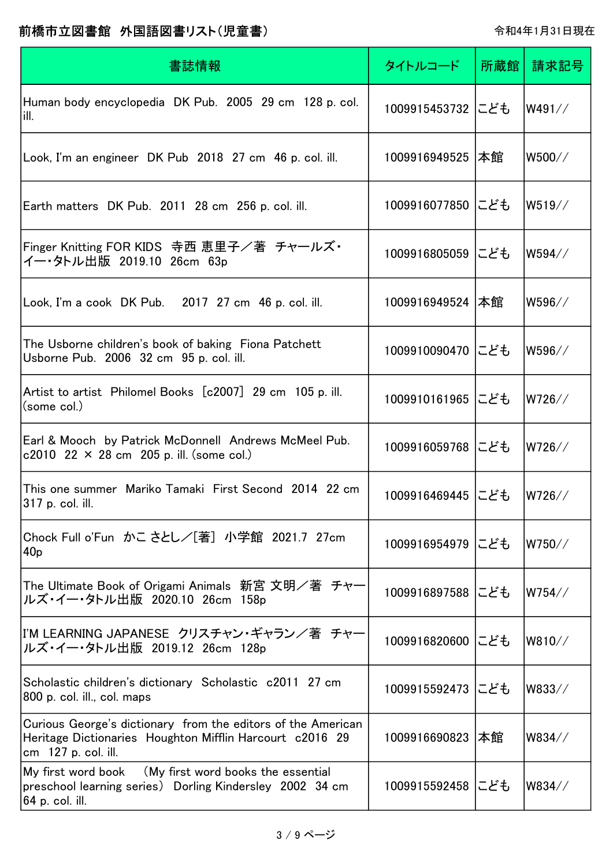| 書誌情報                                                                                                                                            | タイトルコード           | 所蔵館 | 請求記号   |
|-------------------------------------------------------------------------------------------------------------------------------------------------|-------------------|-----|--------|
| Human body encyclopedia DK Pub. 2005 29 cm 128 p. col.<br>lill.                                                                                 | 1009915453732 にども |     | W491// |
| Look, I'm an engineer DK Pub 2018 27 cm 46 p. col. ill.                                                                                         | 1009916949525  本館 |     | W500// |
| Earth matters DK Pub. 2011 28 cm 256 p. col. ill.                                                                                               | 1009916077850 にども |     | W519// |
| Finger Knitting FOR KIDS 寺西 恵里子/著 チャールズ・<br>イー・タトル出版 2019.10 26cm 63p                                                                           | 1009916805059 にども |     | W594// |
| Look, I'm a cook DK Pub. 2017 27 cm 46 p. col. ill.                                                                                             | 1009916949524  本館 |     | W596// |
| The Usborne children's book of baking Fiona Patchett<br>Usborne Pub. 2006 32 cm 95 p. col. ill.                                                 | 1009910090470 にども |     | W596// |
| Artist to artist Philomel Books [c2007] 29 cm 105 p. ill.<br>(some col.)                                                                        | 1009910161965 にども |     | W726// |
| Earl & Mooch by Patrick McDonnell Andrews McMeel Pub.<br>c2010 22 $\times$ 28 cm 205 p. ill. (some col.)                                        | 1009916059768 にども |     | W726// |
| This one summer Mariko Tamaki First Second 2014 22 cm<br> 317 p. col. ill.                                                                      | 1009916469445 にども |     | W726// |
| Chock Full o'Fun かこさとし/[著] 小学館 2021.7 27cm<br>40 <sub>p</sub>                                                                                   | 1009916954979 にども |     | W750// |
| The Ultimate Book of Origami Animals 新宮 文明/著 チャー<br>ルズ・イー・タトル出版 2020.10 26cm 158p                                                               | 1009916897588 にども |     | W754// |
| I'M LEARNING JAPANESE クリスチャン・ギャラン/著 チャー<br>ルズ・イー・タトル出版 2019.12 26cm 128p                                                                        | 1009916820600 にども |     | W810// |
| Scholastic children's dictionary Scholastic c2011 27 cm<br>800 p. col. ill., col. maps                                                          | 1009915592473 にども |     | W833// |
| Curious George's dictionary from the editors of the American<br>Heritage Dictionaries Houghton Mifflin Harcourt c2016 29<br>cm 127 p. col. ill. | 1009916690823     | 本館  | W834// |
| My first word book (My first word books the essential<br>preschool learning series) Dorling Kindersley 2002 34 cm<br> 64 p. col. ill.           | 1009915592458 にども |     | W834// |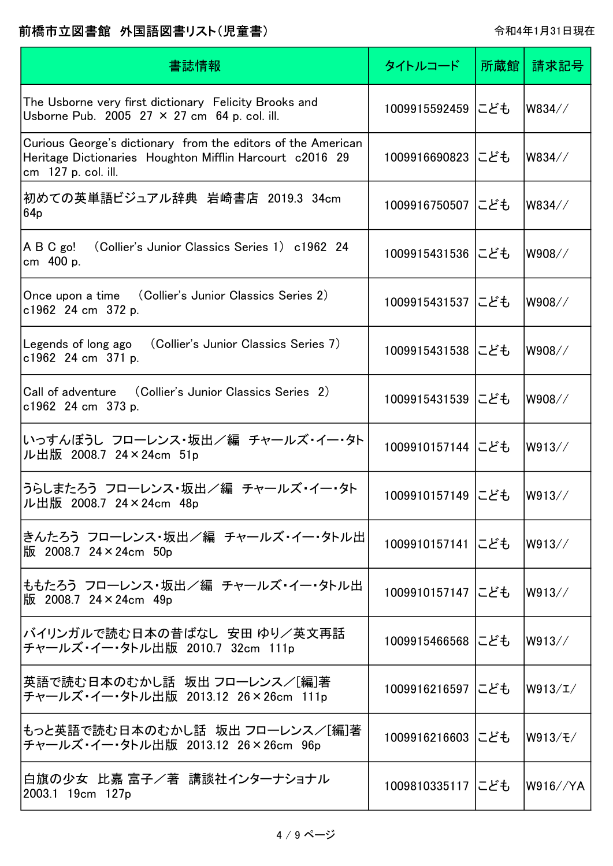| 書誌情報                                                                                                                                            | タイトルコード           | 所蔵館 | 請求記号                   |
|-------------------------------------------------------------------------------------------------------------------------------------------------|-------------------|-----|------------------------|
| The Usborne very first dictionary Felicity Brooks and<br>Usborne Pub. 2005 27 $\times$ 27 cm 64 p. col. ill.                                    | 1009915592459 にども |     | W834//                 |
| Curious George's dictionary from the editors of the American<br>Heritage Dictionaries Houghton Mifflin Harcourt c2016 29<br>cm 127 p. col. ill. | 1009916690823 にども |     | W834//                 |
| 初めての英単語ビジュアル辞典 岩崎書店 2019.3 34cm<br>64 <sub>p</sub>                                                                                              | 1009916750507 にども |     | W834//                 |
| (Collier's Junior Classics Series 1) c1962 24<br>$\overline{AB}$ C go!<br>cm 400 p.                                                             | 1009915431536 にども |     | W908//                 |
| Once upon a time (Collier's Junior Classics Series 2)<br>c1962 24 cm 372 p.                                                                     | 1009915431537 にども |     | W908//                 |
| Legends of long ago (Collier's Junior Classics Series 7)<br>c1962 24 cm 371 p.                                                                  | 1009915431538 にども |     | W908//                 |
| Call of adventure (Collier's Junior Classics Series 2)<br>c1962 24 cm 373 p.                                                                    | 1009915431539 にども |     | W908//                 |
| いっすんぼうし フローレンス・坂出/編 チャールズ・イー・タト<br>ル出版 2008.7 24×24cm 51p                                                                                       | 1009910157144 にども |     | W913//                 |
| うらしまたろう フローレンス・坂出/編 チャールズ・イー・タト<br>ル出版 2008.7 24×24cm 48p                                                                                       | 1009910157149 にども |     | W913//                 |
| きんたろう フローレンス・坂出/編 チャールズ・イー・タトル出<br>版 2008.7 24×24cm 50p                                                                                         | 1009910157141 にども |     | W913//                 |
| ももたろう フローレンス・坂出/編 チャールズ・イー・タトル出<br>版 2008.7 24×24cm 49p                                                                                         | 1009910157147 にども |     | W913//                 |
| バイリンガルで読む日本の昔ばなし 安田 ゆり/英文再話<br> チャールズ・イー・タトル出版 2010.7 32cm 111p                                                                                 | 1009915466568 にども |     | lW913//                |
| 英語で読む日本のむかし話  坂出 フローレンス/[編]著<br> チャールズ・イー・タトル出版 2013.12 26×26cm 111p                                                                            | 1009916216597 にども |     | W913/L/                |
| もっと英語で読む日本のむかし話 坂出 フローレンス/[編]著<br>チャールズ・イー・タトル出版 2013.12 26×26cm 96p                                                                            | 1009916216603 にども |     | $\vert$ W913 $/$ Ŧ $/$ |
| 白旗の少女 比嘉 富子/著 講談社インターナショナル<br>2003.1 19cm 127p                                                                                                  | 1009810335117 にども |     | lW916//YA              |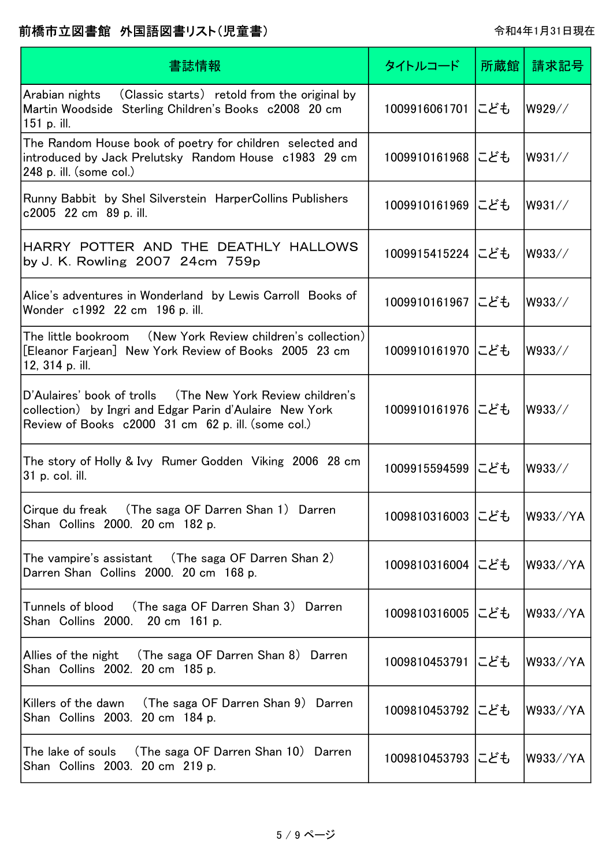| 書誌情報                                                                                                                                                                        | タイトルコード           | 所蔵館 | 請求記号     |
|-----------------------------------------------------------------------------------------------------------------------------------------------------------------------------|-------------------|-----|----------|
| Arabian nights (Classic starts) retold from the original by<br>Martin Woodside Sterling Children's Books c2008 20 cm<br>151 p. ill.                                         | 1009916061701 にども |     | W929//   |
| The Random House book of poetry for children selected and<br>introduced by Jack Prelutsky Random House c1983 29 cm<br>$248$ p. ill. (some col.)                             | 1009910161968 にども |     | W931//   |
| Runny Babbit by Shel Silverstein HarperCollins Publishers<br>c2005 22 cm 89 p. ill.                                                                                         | 1009910161969 にども |     | W931//   |
| HARRY POTTER AND THE DEATHLY HALLOWS<br>by J. K. Rowling 2007 24cm 759p                                                                                                     | 1009915415224 にども |     | W933//   |
| Alice's adventures in Wonderland by Lewis Carroll Books of<br>Wonder c1992 22 cm 196 p. ill.                                                                                | 1009910161967 にども |     | W933//   |
| The little bookroom (New York Review children's collection)<br>[Eleanor Farjean] New York Review of Books 2005 23 cm<br>12, 314 p. ill.                                     | 1009910161970 にども |     | W933//   |
| D'Aulaires' book of trolls (The New York Review children's<br>collection) by Ingri and Edgar Parin d'Aulaire New York<br>Review of Books c2000 31 cm 62 p. ill. (some col.) | 1009910161976 にども |     | W933//   |
| The story of Holly & Ivy Rumer Godden Viking 2006 28 cm<br>31 p. col. ill.                                                                                                  | 1009915594599 にども |     | W933//   |
| Cirque du freak (The saga OF Darren Shan 1) Darren<br>Shan Collins 2000. 20 cm 182 p.                                                                                       | 1009810316003 にども |     | W933//YA |
| The vampire's assistant (The saga OF Darren Shan 2)<br>Darren Shan Collins 2000. 20 cm 168 p.                                                                               | 1009810316004 にども |     | W933//YA |
| Tunnels of blood (The saga OF Darren Shan 3) Darren<br>Shan Collins 2000.<br>20 cm 161 p.                                                                                   | 1009810316005 にども |     | W933//YA |
| Allies of the night (The saga OF Darren Shan 8) Darren<br>Shan Collins 2002. 20 cm 185 p.                                                                                   | 1009810453791 にども |     | W933//YA |
| Killers of the dawn (The saga OF Darren Shan 9) Darren<br>Shan Collins 2003. 20 cm 184 p.                                                                                   | 1009810453792 にども |     | W933//YA |
| The lake of souls (The saga OF Darren Shan 10) Darren<br>Shan Collins 2003. 20 cm 219 p.                                                                                    | 1009810453793 にども |     | W933//YA |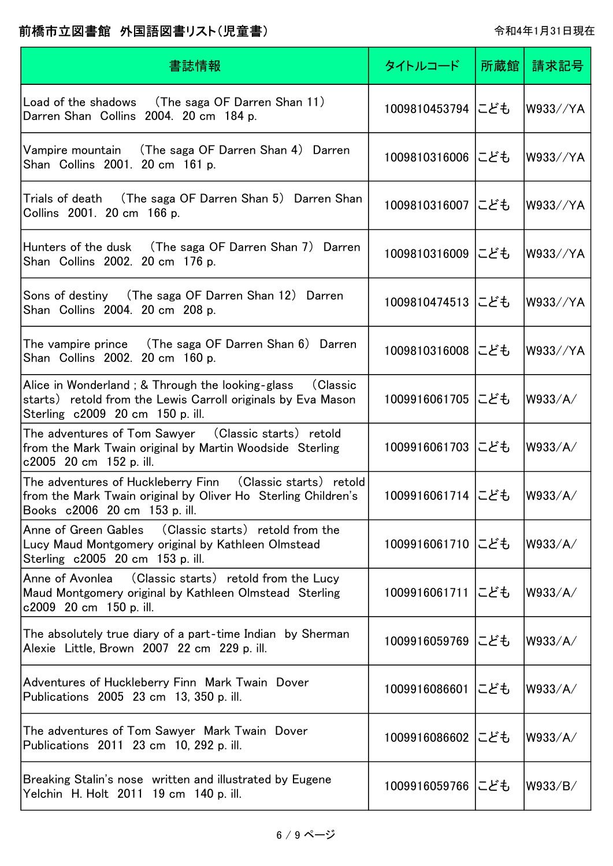| 書誌情報                                                                                                                                                              | タイトルコード           | 所蔵館! | 請求記号     |
|-------------------------------------------------------------------------------------------------------------------------------------------------------------------|-------------------|------|----------|
| Load of the shadows (The saga OF Darren Shan 11)<br>Darren Shan Collins 2004. 20 cm 184 p.                                                                        | 1009810453794 にども |      | W933//YA |
| (The saga OF Darren Shan 4) Darren<br>Vampire mountain<br>Shan Collins 2001. 20 cm 161 p.                                                                         | 1009810316006 にども |      | W933//YA |
| Trials of death (The saga OF Darren Shan 5) Darren Shan<br>Collins 2001. 20 cm 166 p.                                                                             | 1009810316007 にども |      | W933//YA |
| Hunters of the dusk (The saga OF Darren Shan 7) Darren<br>Shan Collins 2002. 20 cm 176 p.                                                                         | 1009810316009 にども |      | W933//YA |
| Sons of destiny (The saga OF Darren Shan 12) Darren<br>Shan Collins 2004. 20 cm 208 p.                                                                            | 1009810474513 にども |      | W933//YA |
| The vampire prince (The saga OF Darren Shan 6) Darren<br>Shan Collins 2002. 20 cm 160 p.                                                                          | 1009810316008 にども |      | W933//YA |
| Alice in Wonderland ; & Through the looking-glass<br>(Classic<br>starts) retold from the Lewis Carroll originals by Eva Mason<br>Sterling c2009 20 cm 150 p. ill. | 1009916061705 にども |      | W933/A/  |
| The adventures of Tom Sawyer (Classic starts) retold<br>from the Mark Twain original by Martin Woodside Sterling<br>c2005 20 cm 152 p. ill.                       | 1009916061703 にども |      | W933/A/  |
| The adventures of Huckleberry Finn (Classic starts) retold<br>from the Mark Twain original by Oliver Ho Sterling Children's<br>Books c2006 20 cm 153 p. ill.      | 1009916061714 にども |      | W933/A/  |
| (Classic starts) retold from the<br>Anne of Green Gables<br>Lucy Maud Montgomery original by Kathleen Olmstead<br>Sterling c2005 20 cm 153 p. ill.                | 1009916061710 にども |      | W933/A/  |
| Anne of Avonlea (Classic starts) retold from the Lucy<br>Maud Montgomery original by Kathleen Olmstead Sterling<br>c2009 20 cm 150 p. ill.                        | 1009916061711 にども |      | W933/A/  |
| The absolutely true diary of a part-time Indian by Sherman<br>Alexie Little, Brown 2007 22 cm 229 p. ill.                                                         | 1009916059769 にども |      | W933/A/  |
| Adventures of Huckleberry Finn Mark Twain Dover<br>Publications 2005 23 cm 13, 350 p. ill.                                                                        | 1009916086601 にども |      | W933/A/  |
| The adventures of Tom Sawyer Mark Twain Dover<br>Publications 2011 23 cm 10, 292 p. ill.                                                                          | 1009916086602 にども |      | W933/A/  |
| Breaking Stalin's nose written and illustrated by Eugene<br>Yelchin H. Holt 2011 19 cm 140 p. ill.                                                                | 1009916059766 にども |      | W933/B/  |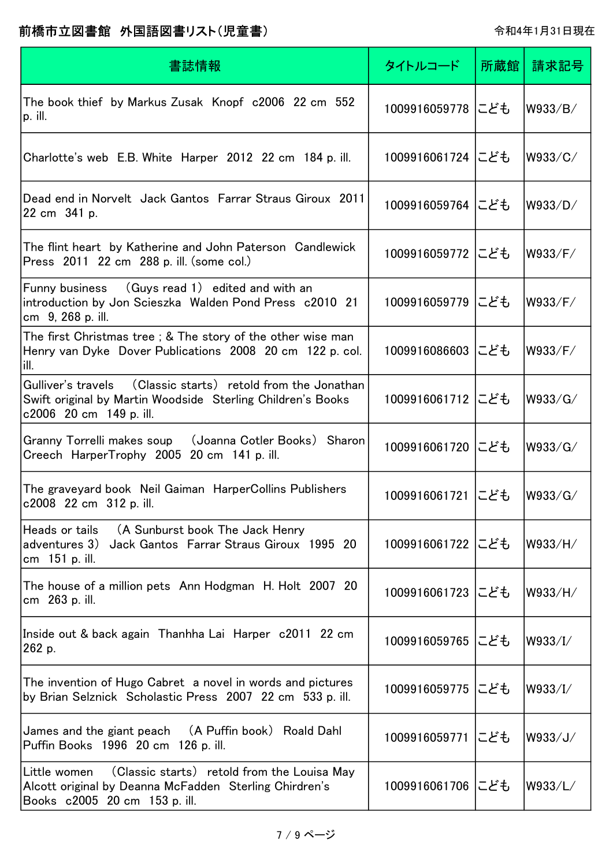| 書誌情報                                                                                                                                                     | タイトルコード           | 所蔵館 | 請求記号    |
|----------------------------------------------------------------------------------------------------------------------------------------------------------|-------------------|-----|---------|
| The book thief by Markus Zusak Knopf c2006 22 cm 552<br>p. ill.                                                                                          | 1009916059778 にども |     | W933/B/ |
| Charlotte's web E.B. White Harper 2012 22 cm 184 p. ill.                                                                                                 | 1009916061724 にども |     | W933/C/ |
| Dead end in Norvelt Jack Gantos Farrar Straus Giroux 2011<br>22 cm 341 p.                                                                                | 1009916059764 にども |     | W933/D/ |
| The flint heart by Katherine and John Paterson Candlewick<br>Press 2011 22 cm 288 p. ill. (some col.)                                                    | 1009916059772 にども |     | W933/F/ |
| Funny business (Guys read 1) edited and with an<br>introduction by Jon Scieszka Walden Pond Press c2010 21<br>cm 9, 268 p. ill.                          | 1009916059779     | にども | W933/F/ |
| The first Christmas tree ; & The story of the other wise man<br>Henry van Dyke Dover Publications 2008 20 cm 122 p. col.<br>ill.                         | 1009916086603 にども |     | W933/F/ |
| Gulliver's travels (Classic starts) retold from the Jonathan<br>Swift original by Martin Woodside Sterling Children's Books<br>c2006 20 cm 149 p. ill.   | 1009916061712 にども |     | W933/G/ |
| Granny Torrelli makes soup<br>(Joanna Cotler Books) Sharon<br>Creech HarperTrophy 2005 20 cm 141 p. ill.                                                 | 1009916061720 にども |     | W933/G/ |
| The graveyard book Neil Gaiman HarperCollins Publishers<br>c2008 22 cm 312 p. ill.                                                                       | 1009916061721 にども |     | W933/G/ |
| Heads or tails<br>(A Sunburst book The Jack Henry<br>adventures 3)<br>Jack Gantos Farrar Straus Giroux 1995 20<br>cm 151 p. ill.                         | 1009916061722 にども |     | W933/H/ |
| The house of a million pets Ann Hodgman H. Holt 2007 20<br>cm 263 p. ill.                                                                                | 1009916061723 にども |     | W933/H/ |
| Inside out & back again Thanhha Lai Harper c2011 22 cm<br>262 p.                                                                                         | 1009916059765 にども |     | W933/I/ |
| The invention of Hugo Cabret a novel in words and pictures<br>by Brian Selznick Scholastic Press 2007 22 cm 533 p. ill.                                  | 1009916059775 にども |     | W933/I/ |
| James and the giant peach (A Puffin book) Roald Dahl<br>Puffin Books 1996 20 cm 126 p. ill.                                                              | 1009916059771 にども |     | W933/J/ |
| (Classic starts) retold from the Louisa May<br> Little women <br>Alcott original by Deanna McFadden Sterling Chirdren's<br>Books c2005 20 cm 153 p. ill. | 1009916061706 にども |     | W933/L/ |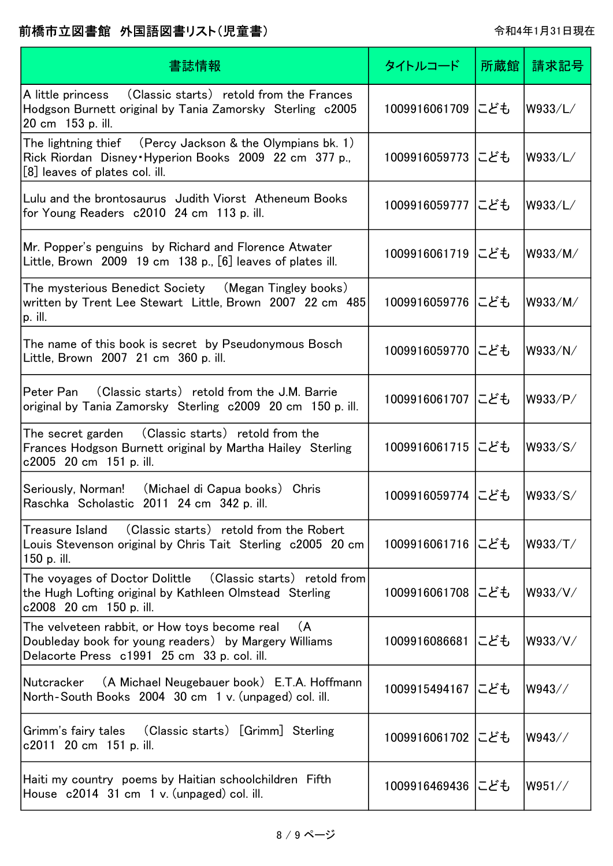| 書誌情報                                                                                                                                                         | タイトルコード           | 所蔵館 | 請求記号    |
|--------------------------------------------------------------------------------------------------------------------------------------------------------------|-------------------|-----|---------|
| (Classic starts) retold from the Frances<br>A little princess<br>Hodgson Burnett original by Tania Zamorsky Sterling c2005<br>20 cm 153 p. ill.              | 1009916061709 にども |     | W933/L/ |
| The lightning thief (Percy Jackson & the Olympians bk. 1)<br>Rick Riordan Disney Hyperion Books 2009 22 cm 377 p.,<br>[8] leaves of plates col. ill.         | 1009916059773 にども |     | W933/L/ |
| Lulu and the brontosaurus Judith Viorst Atheneum Books<br>for Young Readers c2010 24 cm 113 p. ill.                                                          | 1009916059777 にども |     | W933/L/ |
| Mr. Popper's penguins by Richard and Florence Atwater<br>Little, Brown $2009$ 19 cm 138 p., $[6]$ leaves of plates ill.                                      | 1009916061719 にども |     | W933/M/ |
| The mysterious Benedict Society (Megan Tingley books)<br>written by Trent Lee Stewart Little, Brown 2007 22 cm 485<br>p. ill.                                | 1009916059776 にども |     | W933/M/ |
| The name of this book is secret by Pseudonymous Bosch<br>Little, Brown 2007 21 cm 360 p. ill.                                                                | 1009916059770 にども |     | W933/N/ |
| Peter Pan (Classic starts) retold from the J.M. Barrie<br>original by Tania Zamorsky Sterling c2009 20 cm 150 p. ill.                                        | 1009916061707 にども |     | W933/P/ |
| The secret garden (Classic starts) retold from the<br>Frances Hodgson Burnett original by Martha Hailey Sterling<br>c2005 20 cm 151 p. ill.                  | 1009916061715 にども |     | W933/S/ |
| Seriously, Norman! (Michael di Capua books) Chris<br>Raschka Scholastic 2011 24 cm 342 p. ill.                                                               | 1009916059774 にども |     | W933/S/ |
| (Classic starts) retold from the Robert<br>Treasure Island<br>Louis Stevenson original by Chris Tait Sterling c2005 20 cm<br>150 p. ill.                     | 1009916061716 にども |     | W933/T/ |
| The voyages of Doctor Dolittle (Classic starts) retold from<br>the Hugh Lofting original by Kathleen Olmstead Sterling<br>c2008 20 cm 150 p. ill.            | 1009916061708 にども |     | W933/V/ |
| The velveteen rabbit, or How toys become real<br>(A)<br>Doubleday book for young readers) by Margery Williams<br>Delacorte Press c1991 25 cm 33 p. col. ill. | 1009916086681 にども |     | W933/V/ |
| (A Michael Neugebauer book) E.T.A. Hoffmann<br> Nutcracker<br>North-South Books 2004 30 cm 1 v. (unpaged) col. ill.                                          | 1009915494167 にども |     | W943//  |
| Grimm's fairy tales (Classic starts) [Grimm] Sterling<br>c2011 20 cm 151 p. ill.                                                                             | 1009916061702 にども |     | W943//  |
| Haiti my country poems by Haitian schoolchildren Fifth<br>House c2014 31 cm 1 v. (unpaged) col. ill.                                                         | 1009916469436 にども |     | W951//  |